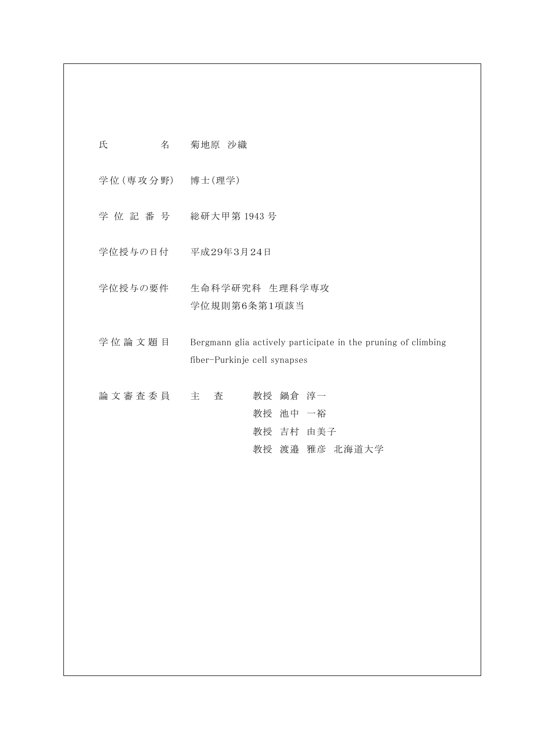| 氏 | 名 | 菊地原 沙織 |  |
|---|---|--------|--|
|   |   |        |  |

学 位 (専 攻 分 野) 博士(理学)

- 学 位 記 番 号 総研大甲第 1943 号
- 学位授与の日付 平成29年3月24日
- 学位授与の要件 生命科学研究科 生理科学専攻 学位規則第6条第1項該当
- 学位論文題目 Bergmann glia actively participate in the pruning of climbing fiber-Purkinje cell synapses

|  |  | 論文審査委員 主 査 |  |          | 教授 鍋倉 淳一 |                |  |
|--|--|------------|--|----------|----------|----------------|--|
|  |  |            |  | 教授 池中 一裕 |          |                |  |
|  |  |            |  |          |          | 教授 吉村 由美子      |  |
|  |  |            |  |          |          | 教授 渡邉 雅彦 北海道大学 |  |
|  |  |            |  |          |          |                |  |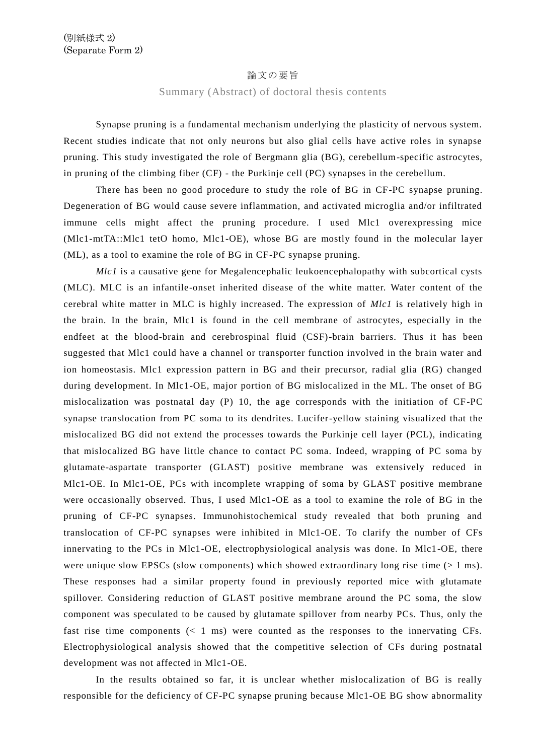## 論文の要旨

## Summary (Abstract) of doctoral thesis contents

Synapse pruning is a fundamental mechanism underlying the plasticity of nervous system. Recent studies indicate that not only neurons but also glial cells have active roles in synapse pruning. This study investigated the role of Bergmann glia (BG), cerebellum-specific astrocytes, in pruning of the climbing fiber (CF) - the Purkinje cell (PC) synapses in the cerebellum.

There has been no good procedure to study the role of BG in CF-PC synapse pruning. Degeneration of BG would cause severe inflammation, and activated microglia and/or infiltrated immune cells might affect the pruning procedure. I used Mlc1 overexpressing mice (Mlc1-mtTA::Mlc1 tetO homo, Mlc1-OE), whose BG are mostly found in the molecular layer (ML), as a tool to examine the role of BG in CF-PC synapse pruning.

*Mlc1* is a causative gene for Megalencephalic leukoencephalopathy with subcortical cysts (MLC). MLC is an infantile-onset inherited disease of the white matter. Water content of the cerebral white matter in MLC is highly increased. The expression of *Mlc1* is relatively high in the brain. In the brain, Mlc1 is found in the cell membrane of astrocytes, especially in the endfeet at the blood-brain and cerebrospinal fluid (CSF)-brain barriers. Thus it has been suggested that Mlc1 could have a channel or transporter function involved in the brain water and ion homeostasis. Mlc1 expression pattern in BG and their precursor, radial glia (RG) changed during development. In Mlc1-OE, major portion of BG mislocalized in the ML. The onset of BG mislocalization was postnatal day (P) 10, the age corresponds with the initiation of CF-PC synapse translocation from PC soma to its dendrites. Lucifer-yellow staining visualized that the mislocalized BG did not extend the processes towards the Purkinje cell layer (PCL), indicating that mislocalized BG have little chance to contact PC soma. Indeed, wrapping of PC soma by glutamate-aspartate transporter (GLAST) positive membrane was extensively reduced in Mlc1-OE. In Mlc1-OE, PCs with incomplete wrapping of soma by GLAST positive membrane were occasionally observed. Thus, I used Mlc1-OE as a tool to examine the role of BG in the pruning of CF-PC synapses. Immunohistochemical study revealed that both pruning and translocation of CF-PC synapses were inhibited in Mlc1-OE. To clarify the number of CFs innervating to the PCs in Mlc1-OE, electrophysiological analysis was done. In Mlc1-OE, there were unique slow EPSCs (slow components) which showed extraordinary long rise time  $(> 1 \text{ ms})$ . These responses had a similar property found in previously reported mice with glutamate spillover. Considering reduction of GLAST positive membrane around the PC soma, the slow component was speculated to be caused by glutamate spillover from nearby PCs. Thus, only the fast rise time components  $(< 1 \text{ ms})$  were counted as the responses to the innervating CFs. Electrophysiological analysis showed that the competitive selection of CFs during postnatal development was not affected in Mlc1-OE.

In the results obtained so far, it is unclear whether mislocalization of BG is really responsible for the deficiency of CF-PC synapse pruning because Mlc1-OE BG show abnormality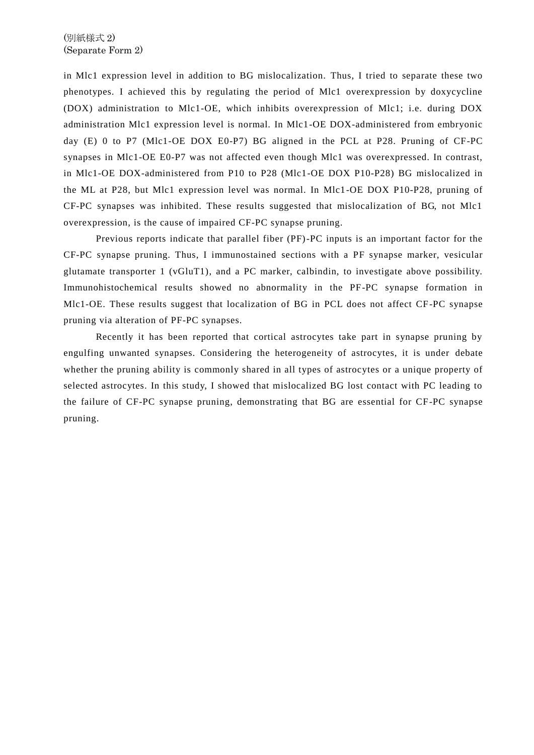in Mlc1 expression level in addition to BG mislocalization. Thus, I tried to separate these two phenotypes. I achieved this by regulating the period of Mlc1 overexpression by doxycycline (DOX) administration to Mlc1-OE, which inhibits overexpression of Mlc1; i.e. during DOX administration Mlc1 expression level is normal. In Mlc1-OE DOX-administered from embryonic day (E) 0 to P7 (Mlc1-OE DOX E0-P7) BG aligned in the PCL at P28. Pruning of CF-PC synapses in Mlc1-OE E0-P7 was not affected even though Mlc1 was overexpressed. In contrast, in Mlc1-OE DOX-administered from P10 to P28 (Mlc1-OE DOX P10-P28) BG mislocalized in the ML at P28, but Mlc1 expression level was normal. In Mlc1-OE DOX P10-P28, pruning of CF-PC synapses was inhibited. These results suggested that mislocalization of BG, not Mlc1 overexpression, is the cause of impaired CF-PC synapse pruning.

Previous reports indicate that parallel fiber (PF)-PC inputs is an important factor for the CF-PC synapse pruning. Thus, I immunostained sections with a PF synapse marker, vesicular glutamate transporter 1 (vGluT1), and a PC marker, calbindin, to investigate above possibility. Immunohistochemical results showed no abnormality in the PF-PC synapse formation in Mlc1-OE. These results suggest that localization of BG in PCL does not affect CF-PC synapse pruning via alteration of PF-PC synapses.

Recently it has been reported that cortical astrocytes take part in synapse pruning by engulfing unwanted synapses. Considering the heterogeneity of astrocytes, it is under debate whether the pruning ability is commonly shared in all types of astrocytes or a unique property of selected astrocytes. In this study, I showed that mislocalized BG lost contact with PC leading to the failure of CF-PC synapse pruning, demonstrating that BG are essential for CF-PC synapse pruning.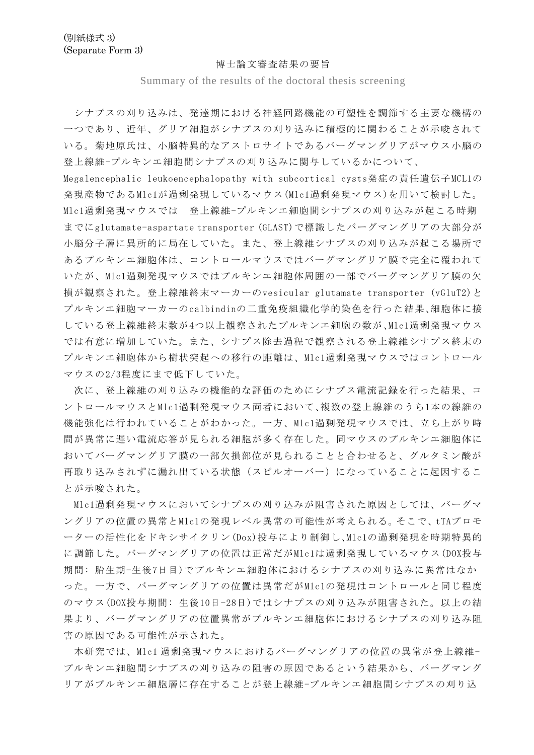## 博士論文審査結果の要旨

Summary of the results of the doctoral thesis screening

シナプスの刈り込みは、発達期における神経回路機能の可塑性を調節する主要な機構の 一つであり、近年、グリア細胞がシナプスの刈り込みに積極的に関わることが示唆されて いる。菊地原氏は、小脳特異的なアストロサイトであるバーグマングリアがマウス小脳の 登上線維-プルキンエ細胞間シナプスの刈り込みに関与しているかについて、

Megalencephalic leukoencephalopathy with subcortical cysts発症の責任遺伝子MCL1の 発現産物であるMlc1が過剰発現しているマウス(Mlc1過剰発現マウス)を用いて検討した。 Mlc1過剰発現マウスでは 登上線維-プルキンエ細胞間シナプスの刈り込みが起こる時期 までにglutamate-aspartate transporter (GLAST)で標識したバーグマングリアの大部分が 小脳分子層に異所的に局在していた。また、登上線維シナプスの刈り込みが起こる場所で あるプルキンエ細胞体は、コントロールマウスではバーグマングリア膜で完全に覆われて いたが、Mlc1過剰発現マウスではプルキンエ細胞体周囲の一部でバーグマングリア膜の欠 損が観察された。登上線維終末マーカーのvesicular glutamate transporter (vGluT2)と プルキンエ細胞マーカーのcalbindinの二重免疫組織化学的染色を行った結果、細胞体に接 している登上線維終末数が4つ以上観察されたプルキンエ細胞の数が、Mlc1過剰発現マウス では有意に増加していた。また、シナプス除去過程で観察される登上線維シナプス終末の プルキンエ細胞体から樹状突起への移行の距離は、Mlc1過剰発現マウスではコントロール マウスの2/3程度にまで低下していた。

次に、登上線維の刈り込みの機能的な評価のためにシナプス電流記録を行った結果、コ ントロールマウスとMlc1過剰発現マウス両者において、複数の登上線維のうち1本の線維の 機能強化は行われていることがわかった。一方、Mlc1過剰発現マウスでは、立ち上がり時 間が異常に遅い電流応答が見られる細胞が多く存在した。同マウスのプルキンエ細胞体に おいてバーグマングリア膜の一部欠損部位が見られることと合わせると、グルタミン酸が 再取り込みされずに漏れ出ている状態(スピルオーバー)になっていることに起因するこ とが示唆された。

Mlc1過剰発現マウスにおいてシナプスの刈り込みが阻害された原因としては、バーグマ ングリアの位置の異常とMlc1の発現レベル異常の可能性が考えられる。そこで、tTAプロモ ーターの活性化をドキシサイクリン(Dox)投与により制御し、Mlc1の過剰発現を時期特異的 に調節した。バーグマングリアの位置は正常だがMlc1は過剰発現しているマウス(DOX投与 期間: 胎生期-生後7日目)でプルキンエ細胞体におけるシナプスの刈り込みに異常はなか った。一方で、バーグマングリアの位置は異常だがMlc1の発現はコントロールと同じ程度 のマウス(DOX投与期間: 生後10日-28日)ではシナプスの刈り込みが阻害された。以上の結 果より、バーグマングリアの位置異常がプルキンエ細胞体におけるシナプスの刈り込み阻 害の原因である可能性が示された。

本研究では、Mlc1 過剰発現マウスにおけるバーグマングリアの位置の異常が登上線維-プルキンエ細胞間シナプスの刈り込みの阻害の原因であるという結果から、バーグマング リアがプルキンエ細胞層に存在することが登上線維-プルキンエ細胞間シナプスの刈り込